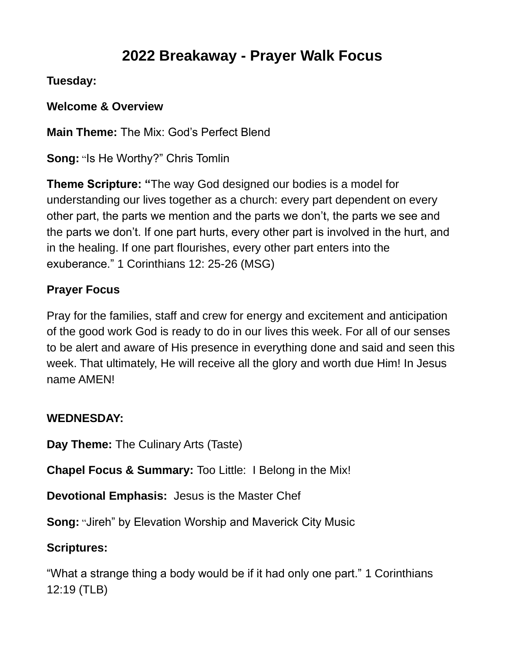# **2022 Breakaway - Prayer Walk Focus**

### **Tuesday:**

**Welcome & Overview**

**Main Theme:** The Mix: God's Perfect Blend

**Song:** "Is He Worthy?" Chris Tomlin

**Theme Scripture: "**The way God designed our bodies is a model for understanding our lives together as a church: every part dependent on every other part, the parts we mention and the parts we don't, the parts we see and the parts we don't. If one part hurts, every other part is involved in the hurt, and in the healing. If one part flourishes, every other part enters into the exuberance." 1 Corinthians 12: 25-26 (MSG)

## **Prayer Focus**

Pray for the families, staff and crew for energy and excitement and anticipation of the good work God is ready to do in our lives this week. For all of our senses to be alert and aware of His presence in everything done and said and seen this week. That ultimately, He will receive all the glory and worth due Him! In Jesus name AMEN!

### **WEDNESDAY:**

**Day Theme:** The Culinary Arts (Taste)

**Chapel Focus & Summary:** Too Little: I Belong in the Mix!

**Devotional Emphasis:** Jesus is the Master Chef

**Song:** "Jireh" by Elevation Worship and Maverick City Music

## **Scriptures:**

"What a strange thing a body would be if it had only one part." 1 Corinthians 12:19 (TLB)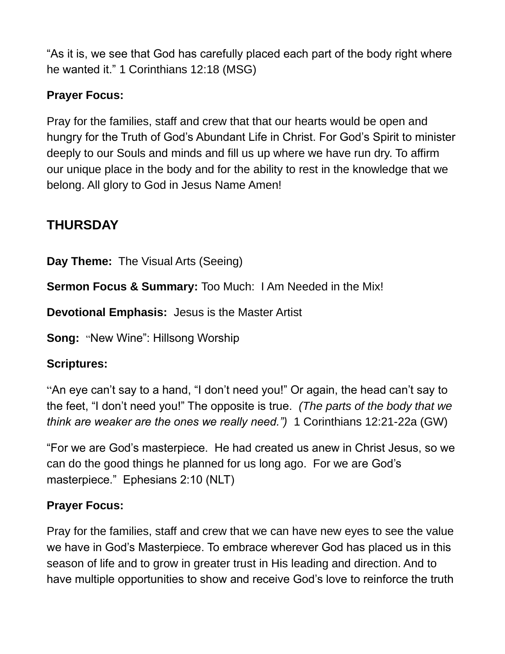"As it is, we see that God has carefully placed each part of the body right where he wanted it." 1 Corinthians 12:18 (MSG)

## **Prayer Focus:**

Pray for the families, staff and crew that that our hearts would be open and hungry for the Truth of God's Abundant Life in Christ. For God's Spirit to minister deeply to our Souls and minds and fill us up where we have run dry. To affirm our unique place in the body and for the ability to rest in the knowledge that we belong. All glory to God in Jesus Name Amen!

# **THURSDAY**

**Day Theme:** The Visual Arts (Seeing)

**Sermon Focus & Summary:** Too Much:I Am Needed in the Mix!

**Devotional Emphasis:** Jesus is the Master Artist

**Song: "New Wine": Hillsong Worship** 

### **Scriptures:**

"An eye can't say to a hand, "I don't need you!" Or again, the head can't say to the feet, "I don't need you!" The opposite is true. *(The parts of the body that we think are weaker are the ones we really need.")* 1 Corinthians 12:21-22a (GW)

"For we are God's masterpiece. He had created us anew in Christ Jesus, so we can do the good things he planned for us long ago. For we are God's masterpiece." Ephesians 2:10 (NLT)

### **Prayer Focus:**

Pray for the families, staff and crew that we can have new eyes to see the value we have in God's Masterpiece. To embrace wherever God has placed us in this season of life and to grow in greater trust in His leading and direction. And to have multiple opportunities to show and receive God's love to reinforce the truth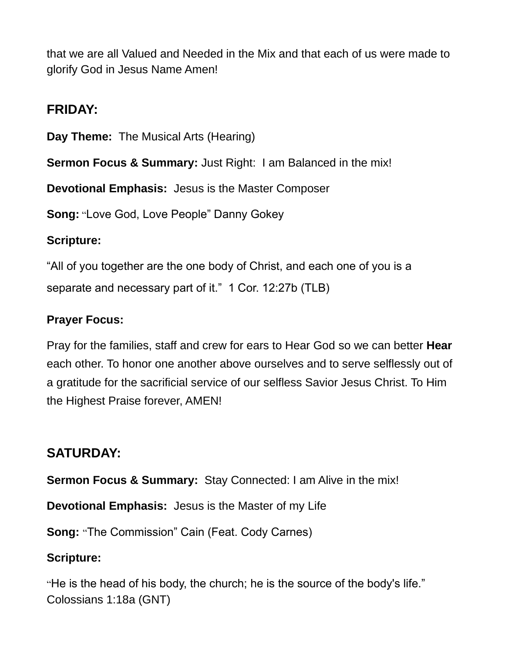that we are all Valued and Needed in the Mix and that each of us were made to glorify God in Jesus Name Amen!

## **FRIDAY:**

**Day Theme:** The Musical Arts (Hearing)

**Sermon Focus & Summary:** Just Right: I am Balanced in the mix!

**Devotional Emphasis:** Jesus is the Master Composer

**Song:** "Love God, Love People" Danny Gokey

#### **Scripture:**

"All of you together are the one body of Christ, and each one of you is a separate and necessary part of it." 1 Cor. 12:27b (TLB)

#### **Prayer Focus:**

Pray for the families, staff and crew for ears to Hear God so we can better **Hear**  each other. To honor one another above ourselves and to serve selflessly out of a gratitude for the sacrificial service of our selfless Savior Jesus Christ. To Him the Highest Praise forever, AMEN!

# **SATURDAY:**

**Sermon Focus & Summary:** Stay Connected: I am Alive in the mix!

**Devotional Emphasis:** Jesus is the Master of my Life

**Song:** "The Commission" Cain (Feat. Cody Carnes)

### **Scripture:**

"He is the head of his body, the church; he is the source of the body's life." Colossians 1:18a (GNT)